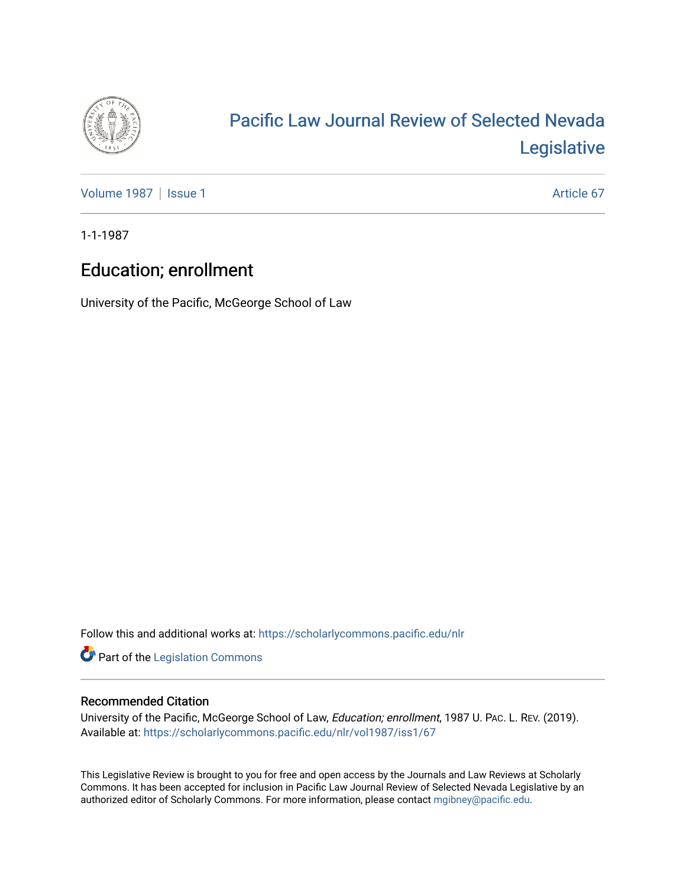

# [Pacific Law Journal Review of Selected Nevada](https://scholarlycommons.pacific.edu/nlr)  [Legislative](https://scholarlycommons.pacific.edu/nlr)

[Volume 1987](https://scholarlycommons.pacific.edu/nlr/vol1987) | [Issue 1](https://scholarlycommons.pacific.edu/nlr/vol1987/iss1) Article 67

1-1-1987

## Education; enrollment

University of the Pacific, McGeorge School of Law

Follow this and additional works at: [https://scholarlycommons.pacific.edu/nlr](https://scholarlycommons.pacific.edu/nlr?utm_source=scholarlycommons.pacific.edu%2Fnlr%2Fvol1987%2Fiss1%2F67&utm_medium=PDF&utm_campaign=PDFCoverPages) 

**Part of the [Legislation Commons](http://network.bepress.com/hgg/discipline/859?utm_source=scholarlycommons.pacific.edu%2Fnlr%2Fvol1987%2Fiss1%2F67&utm_medium=PDF&utm_campaign=PDFCoverPages)** 

### Recommended Citation

University of the Pacific, McGeorge School of Law, Education; enrollment, 1987 U. PAC. L. REV. (2019). Available at: [https://scholarlycommons.pacific.edu/nlr/vol1987/iss1/67](https://scholarlycommons.pacific.edu/nlr/vol1987/iss1/67?utm_source=scholarlycommons.pacific.edu%2Fnlr%2Fvol1987%2Fiss1%2F67&utm_medium=PDF&utm_campaign=PDFCoverPages)

This Legislative Review is brought to you for free and open access by the Journals and Law Reviews at Scholarly Commons. It has been accepted for inclusion in Pacific Law Journal Review of Selected Nevada Legislative by an authorized editor of Scholarly Commons. For more information, please contact [mgibney@pacific.edu](mailto:mgibney@pacific.edu).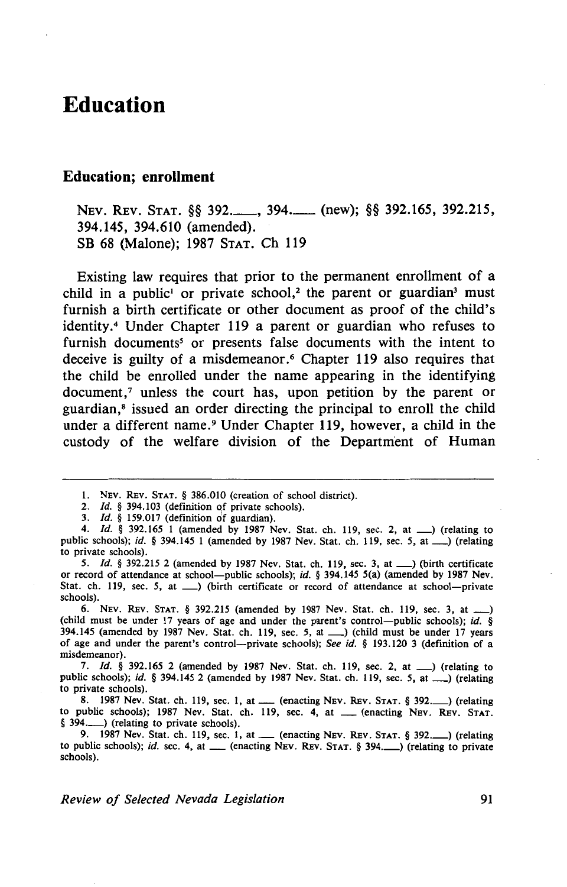### **Education**

#### **Education; enrollment**

NEV. REV. STAT. §§ 392.\_\_\_, 394.\_\_\_ (new); §§ 392.165, 392.215, 394.145, 394.610 (amended). SB 68 (Malone); 1987 STAT. Ch 119

Existing law requires that prior to the permanent enrollment of a child in a public<sup>1</sup> or private school,<sup>2</sup> the parent or guardian<sup>3</sup> must furnish a birth certificate or other document as proof of the child's identity.<sup>4</sup> Under Chapter 119 a parent or guardian who refuses to furnish documents<sup>5</sup> or presents false documents with the intent to deceive is guilty of a misdemeanor.<sup>6</sup> Chapter 119 also requires that the child be enrolled under the name appearing in the identifying  $document<sub>1</sub>$  unless the court has, upon petition by the parent or guardian, 8 issued an order directing the principal to enroll the child under a different name. 9 Under Chapter 119, however, a child in the custody of the welfare division of the Department of Human

5. *Id.* § 392.215 2 (amended by 1987 Nev. Stat. ch. 119, sec. 3, at \_\_\_ ) (birth certificate or record of attendance at school-public schools); id. § 394.145 5(a) (amended by 1987 Nev. Stat. ch. 119, sec. 5, at  $\Box$ ) (birth certificate or record of attendance at school-private schools).

6. NEv. REv. STAT. § 392.215 (amended by 1987 Nev. Stat. ch. 119, sec. 3, at \_) (child must be under 17 years of age and under the parent's control-public schools); id. § 394.145 (amended by 1987 Nev. Stat. ch. 119, sec. 5, at \_\_\_) (child must be under 17 years of age and under the parent's control-private schools); See id. § 193.120 3 (definition of a misdemeanor).

7. *Id.* § 392.165 2 (amended by 1987 Nev. Stat. ch. 119, sec. 2, at \_\_) (relating to public schools); id. § 394.145 2 (amended by 1987 Nev. Stat. ch. 119, sec. *5,* at\_) (relating to private schools).

8. 1987 Nev. Stat. ch. 119, sec. 1, at  $\mu$  (enacting NEV. REV. STAT. § 392. $\mu$ ) (relating to public schools); 1987 Nev. Stat. ch. 119, sec. 4, at \_\_ (enacting NEV. REV. STAT. § 394. (relating to private schools).

9. 1987 Nev. Stat. ch. 119, sec. 1, at\_ (enacting NEV. REv. STAT. § 392.\_) (relating to public schools); id. sec. 4, at \_ (enacting NEV. REv. STAT. § 394.\_) (relating to private schools).

I. NEv. REv. STAT. § 386.010 (creation of school district).

<sup>2.</sup> *Id.* § 394.103 (definition of private schools).

<sup>3.</sup> *Id.* § 159.017 (definition of guardian).

<sup>4.</sup> *Id.* § 392.165 1 (amended by 1987 Nev. Stat. ch. 119, sec. 2, at  $\Box$ ) (relating to public schools); id.  $\S$  394.145 1 (amended by 1987 Nev. Stat. ch. 119, sec. 5, at  $\Box$ ) (relating to private schools).